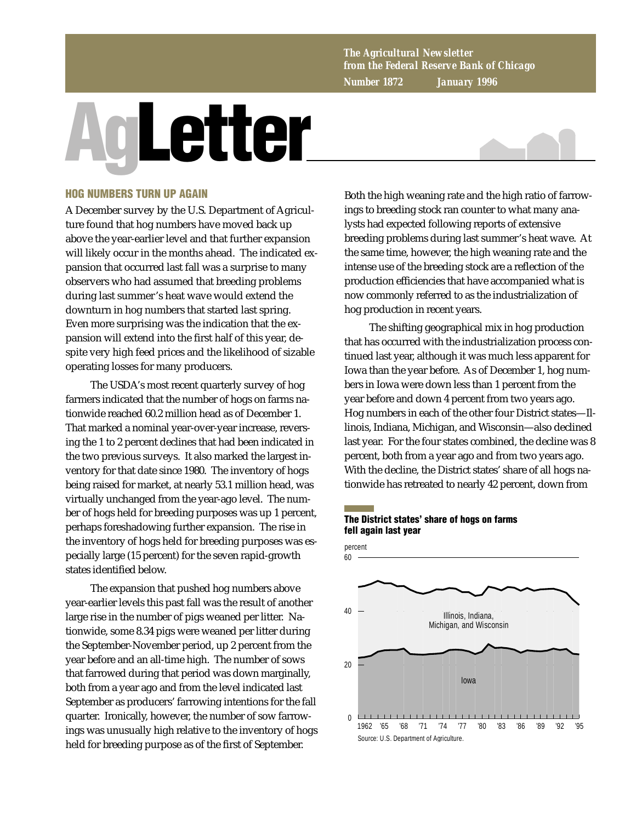*The Agricultural Newsletter from the Federal Reserve Bank of Chicago Number 1872 January 1996*

# **AgLetter**



# **HOG NUMBERS TURN UP AGAIN**

A December survey by the U.S. Department of Agriculture found that hog numbers have moved back up above the year-earlier level and that further expansion will likely occur in the months ahead. The indicated expansion that occurred last fall was a surprise to many observers who had assumed that breeding problems during last summer's heat wave would extend the downturn in hog numbers that started last spring. Even more surprising was the indication that the expansion will extend into the first half of this year, despite very high feed prices and the likelihood of sizable operating losses for many producers.

The USDA's most recent quarterly survey of hog farmers indicated that the number of hogs on farms nationwide reached 60.2 million head as of December 1. That marked a nominal year-over-year increase, reversing the 1 to 2 percent declines that had been indicated in the two previous surveys. It also marked the largest inventory for that date since 1980. The inventory of hogs being raised for market, at nearly 53.1 million head, was virtually unchanged from the year-ago level. The number of hogs held for breeding purposes was up 1 percent, perhaps foreshadowing further expansion. The rise in the inventory of hogs held for breeding purposes was especially large (15 percent) for the seven rapid-growth states identified below.

The expansion that pushed hog numbers above year-earlier levels this past fall was the result of another large rise in the number of pigs weaned per litter. Nationwide, some 8.34 pigs were weaned per litter during the September-November period, up 2 percent from the year before and an all-time high. The number of sows that farrowed during that period was down marginally, both from a year ago and from the level indicated last September as producers' farrowing intentions for the fall quarter. Ironically, however, the number of sow farrowings was unusually high relative to the inventory of hogs held for breeding purpose as of the first of September.

Both the high weaning rate and the high ratio of farrowings to breeding stock ran counter to what many analysts had expected following reports of extensive breeding problems during last summer's heat wave. At the same time, however, the high weaning rate and the intense use of the breeding stock are a reflection of the production efficiencies that have accompanied what is now commonly referred to as the industrialization of hog production in recent years.

The shifting geographical mix in hog production that has occurred with the industrialization process continued last year, although it was much less apparent for Iowa than the year before. As of December 1, hog numbers in Iowa were down less than 1 percent from the year before and down 4 percent from two years ago. Hog numbers in each of the other four District states—Illinois, Indiana, Michigan, and Wisconsin—also declined last year. For the four states combined, the decline was 8 percent, both from a year ago and from two years ago. With the decline, the District states' share of all hogs nationwide has retreated to nearly 42 percent, down from

# **The District states' share of hogs on farms fell again last year**

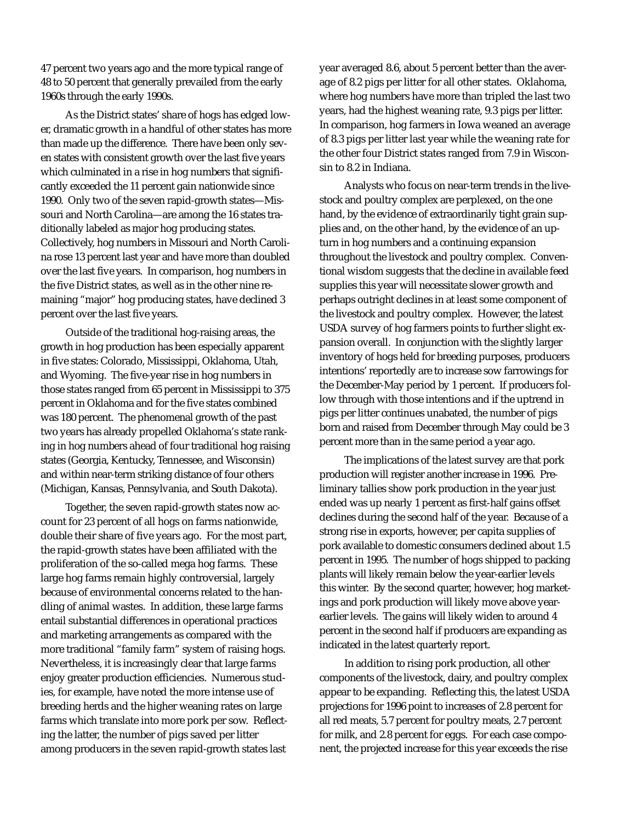47 percent two years ago and the more typical range of 48 to 50 percent that generally prevailed from the early 1960s through the early 1990s.

As the District states' share of hogs has edged lower, dramatic growth in a handful of other states has more than made up the difference. There have been only seven states with consistent growth over the last five years which culminated in a rise in hog numbers that significantly exceeded the 11 percent gain nationwide since 1990. Only two of the seven rapid-growth states—Missouri and North Carolina—are among the 16 states traditionally labeled as major hog producing states. Collectively, hog numbers in Missouri and North Carolina rose 13 percent last year and have more than doubled over the last five years. In comparison, hog numbers in the five District states, as well as in the other nine remaining "major" hog producing states, have declined 3 percent over the last five years.

Outside of the traditional hog-raising areas, the growth in hog production has been especially apparent in five states: Colorado, Mississippi, Oklahoma, Utah, and Wyoming. The five-year rise in hog numbers in those states ranged from 65 percent in Mississippi to 375 percent in Oklahoma and for the five states combined was 180 percent. The phenomenal growth of the past two years has already propelled Oklahoma's state ranking in hog numbers ahead of four traditional hog raising states (Georgia, Kentucky, Tennessee, and Wisconsin) and within near-term striking distance of four others (Michigan, Kansas, Pennsylvania, and South Dakota).

Together, the seven rapid-growth states now account for 23 percent of all hogs on farms nationwide, double their share of five years ago. For the most part, the rapid-growth states have been affiliated with the proliferation of the so-called mega hog farms. These large hog farms remain highly controversial, largely because of environmental concerns related to the handling of animal wastes. In addition, these large farms entail substantial differences in operational practices and marketing arrangements as compared with the more traditional "family farm" system of raising hogs. Nevertheless, it is increasingly clear that large farms enjoy greater production efficiencies. Numerous studies, for example, have noted the more intense use of breeding herds and the higher weaning rates on large farms which translate into more pork per sow. Reflecting the latter, the number of pigs saved per litter among producers in the seven rapid-growth states last year averaged 8.6, about 5 percent better than the average of 8.2 pigs per litter for all other states. Oklahoma, where hog numbers have more than tripled the last two years, had the highest weaning rate, 9.3 pigs per litter. In comparison, hog farmers in Iowa weaned an average of 8.3 pigs per litter last year while the weaning rate for the other four District states ranged from 7.9 in Wisconsin to 8.2 in Indiana.

Analysts who focus on near-term trends in the livestock and poultry complex are perplexed, on the one hand, by the evidence of extraordinarily tight grain supplies and, on the other hand, by the evidence of an upturn in hog numbers and a continuing expansion throughout the livestock and poultry complex. Conventional wisdom suggests that the decline in available feed supplies this year will necessitate slower growth and perhaps outright declines in at least some component of the livestock and poultry complex. However, the latest USDA survey of hog farmers points to further slight expansion overall. In conjunction with the slightly larger inventory of hogs held for breeding purposes, producers intentions' reportedly are to increase sow farrowings for the December-May period by 1 percent. If producers follow through with those intentions and if the uptrend in pigs per litter continues unabated, the number of pigs born and raised from December through May could be 3 percent more than in the same period a year ago.

The implications of the latest survey are that pork production will register another increase in 1996. Preliminary tallies show pork production in the year just ended was up nearly 1 percent as first-half gains offset declines during the second half of the year. Because of a strong rise in exports, however, per capita supplies of pork available to domestic consumers declined about 1.5 percent in 1995. The number of hogs shipped to packing plants will likely remain below the year-earlier levels this winter. By the second quarter, however, hog marketings and pork production will likely move above yearearlier levels. The gains will likely widen to around 4 percent in the second half if producers are expanding as indicated in the latest quarterly report.

In addition to rising pork production, all other components of the livestock, dairy, and poultry complex appear to be expanding. Reflecting this, the latest USDA projections for 1996 point to increases of 2.8 percent for all red meats, 5.7 percent for poultry meats, 2.7 percent for milk, and 2.8 percent for eggs. For each case component, the projected increase for this year exceeds the rise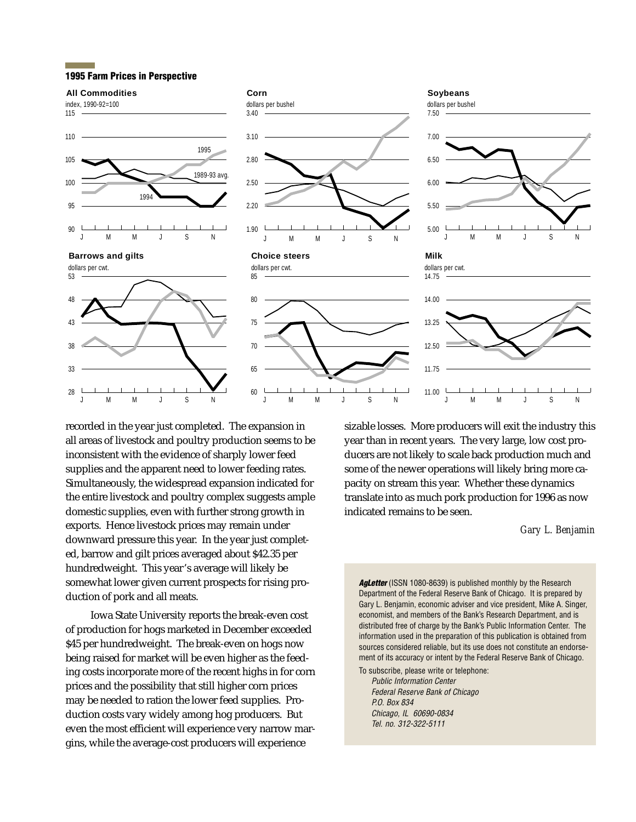### **1995 Farm Prices in Perspective**

### index, 1990-92=100 **All Commodities**



J MM J S N







recorded in the year just completed. The expansion in all areas of livestock and poultry production seems to be inconsistent with the evidence of sharply lower feed supplies and the apparent need to lower feeding rates. Simultaneously, the widespread expansion indicated for the entire livestock and poultry complex suggests ample domestic supplies, even with further strong growth in exports. Hence livestock prices may remain under downward pressure this year. In the year just completed, barrow and gilt prices averaged about \$42.35 per hundredweight. This year's average will likely be somewhat lower given current prospects for rising production of pork and all meats.

Iowa State University reports the break-even cost of production for hogs marketed in December exceeded \$45 per hundredweight. The break-even on hogs now being raised for market will be even higher as the feeding costs incorporate more of the recent highs in for corn prices and the possibility that still higher corn prices may be needed to ration the lower feed supplies. Production costs vary widely among hog producers. But even the most efficient will experience very narrow margins, while the average-cost producers will experience

sizable losses. More producers will exit the industry this year than in recent years. The very large, low cost producers are not likely to scale back production much and some of the newer operations will likely bring more capacity on stream this year. Whether these dynamics translate into as much pork production for 1996 as now indicated remains to be seen.

# *Gary L. Benjamin*

Agletter (ISSN 1080-8639) is published monthly by the Research Department of the Federal Reserve Bank of Chicago. It is prepared by Gary L. Benjamin, economic adviser and vice president, Mike A. Singer, economist, and members of the Bank's Research Department, and is distributed free of charge by the Bank's Public Information Center. The information used in the preparation of this publication is obtained from sources considered reliable, but its use does not constitute an endorsement of its accuracy or intent by the Federal Reserve Bank of Chicago.

To subscribe, please write or telephone: Public Information Center Federal Reserve Bank of Chicago P.O. Box 834 Chicago, IL 60690-0834 Tel. no. 312-322-5111